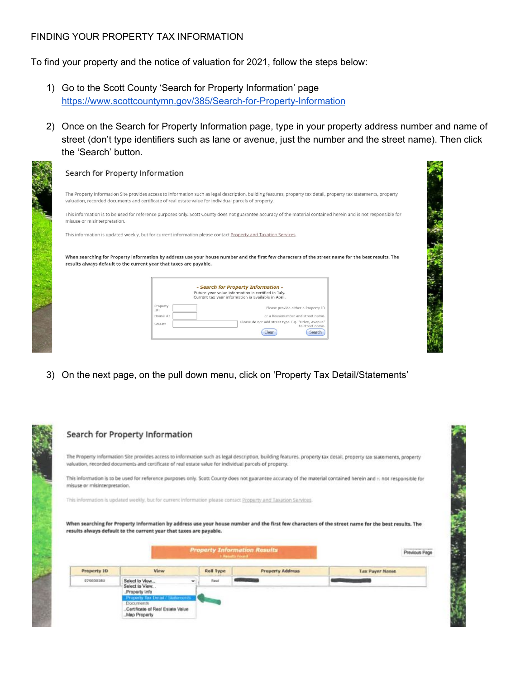## FINDING YOUR PROPERTY TAX INFORMATION

To find your property and the notice of valuation for 2021, follow the steps below:

- 1) Go to the Scott County 'Search for Property Information' page <https://www.scottcountymn.gov/385/Search-for-Property-Information>
- 2) Once on the Search for Property Information page, type in your property address number and name of street (don't type identifiers such as lane or avenue, just the number and the street name). Then click the 'Search' button.

|                              | The Property Information Site provides access to information such as legal description, building features, property tax detail, property tax statements, property<br>valuation, recorded documents and certificate of real estate value for individual parcels of property. |
|------------------------------|-----------------------------------------------------------------------------------------------------------------------------------------------------------------------------------------------------------------------------------------------------------------------------|
| misuse or misinterpretation. | This information is to be used for reference purposes only. Scott County does not guarantee accuracy of the material contained herein and is not responsible for                                                                                                            |
|                              | This information is updated weekly, but for current information please contact Property and Taxation Services.                                                                                                                                                              |
|                              | When searching for Property Information by address use your house number and the first few characters of the street name for the best results. The<br>results always default to the current year that taxes are payable.                                                    |
|                              |                                                                                                                                                                                                                                                                             |
|                              | - Search for Property Information -<br>Future year value information is certified in July.<br>Current tax year information is available in April.                                                                                                                           |
|                              | Property<br>Please provide either a Property ID<br>ID:                                                                                                                                                                                                                      |

3) On the next page, on the pull down menu, click on 'Property Tax Detail/Statements'

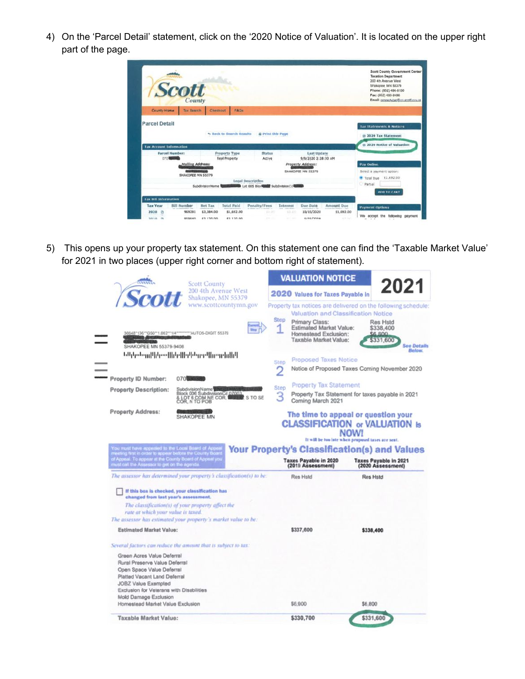4) On the 'Parcel Detail' statement, click on the '2020 Notice of Valuation'. It is located on the upper right part of the page.

|                                | <b>Scott</b><br>County                |                         |                               |                                                                           |                    |                                                                               |                       | <b>Scott County Government Center</b><br><b>Taxation Department</b><br>200 4th Avenue West<br>Shakopee, MN 55379<br>Phone: (952) 496-8150<br>Fax: (952) 496-8496<br>Email: propertytico@co.scott.com.us |
|--------------------------------|---------------------------------------|-------------------------|-------------------------------|---------------------------------------------------------------------------|--------------------|-------------------------------------------------------------------------------|-----------------------|---------------------------------------------------------------------------------------------------------------------------------------------------------------------------------------------------------|
| County Home                    | <b>Tax Sawrch</b>                     | Checkout                | FAGs                          |                                                                           |                    |                                                                               |                       |                                                                                                                                                                                                         |
| <b>Parcel Detail</b>           |                                       |                         | % Back to Search Results      | <b>Q</b> Print this Page                                                  |                    |                                                                               |                       | <b>Tax Statements &amp; Notices</b><br><b><i>m</i></b> 2020 Tax Statement<br><b>53 2020 Notice of Valuation</b>                                                                                         |
| <b>Tax Account Information</b> | <b>Parcel Number:</b>                 |                         | <b>Property Type</b>          | Status                                                                    |                    | <b>Last Update</b>                                                            |                       |                                                                                                                                                                                                         |
| 070                            | Mailing Address:<br>SHAKOPEE MN 55379 | SubdivisionName         | <b>Real Property</b>          | Active<br>Legal Description<br><b>BOOK Lot 005 Blockets SubdivisionCd</b> |                    | 9/8/2020 2:28:00 AM<br><b>Property Address:</b><br>SHAKOPEE MN 55379<br>anna. |                       | <b>Pay Online</b><br>Select a payment option:<br>Total Due \$1,692.00<br>Partial                                                                                                                        |
| <b>Tax Bill Information</b>    |                                       |                         |                               |                                                                           |                    |                                                                               |                       | ADD TO CART                                                                                                                                                                                             |
| <b>Tax Year</b>                | <b>Bill Number</b>                    | Net Tax                 | <b>Total Paid</b>             | Penalty/Fees                                                              | Interest           | Due Date                                                                      | <b>Amount Due</b>     | <b>Payment Options</b>                                                                                                                                                                                  |
| 2020 C<br>$^{12}$<br>THEY KINS | 969291<br><b>BEBEAN</b>               | \$3,384.00<br>43.135.55 | \$1,692.00<br><b>83135 00</b> | \$11,310<br>goal con-                                                     | 9.0.00<br>and said | 10/15/2020<br><b>C/TC/TOTO</b>                                                | \$1,692.00<br>$-24.5$ | We accept the following payment                                                                                                                                                                         |

5) This opens up your property tax statement. On this statement one can find the 'Taxable Market Value' for 2021 in two places (upper right corner and bottom right of statement).

|                                                                                                                                                                                                                     | <b>Scott County</b>                                                 | <b>VALUATION NOTICE</b>                                                                                          |                                                                                                                                                  |
|---------------------------------------------------------------------------------------------------------------------------------------------------------------------------------------------------------------------|---------------------------------------------------------------------|------------------------------------------------------------------------------------------------------------------|--------------------------------------------------------------------------------------------------------------------------------------------------|
| ntron                                                                                                                                                                                                               | 200 4th Avenue West<br>Shakopee, MN 55379                           | 2020 Values for Taxes Payable In                                                                                 | 2021                                                                                                                                             |
|                                                                                                                                                                                                                     | www.scottcountymn.gov                                               |                                                                                                                  | Property tax notices are delivered on the following schedule.<br><b>Valuation and Classification Notice</b>                                      |
| SHAKOPEE MN 55379-9408                                                                                                                                                                                              | they I<br>36648*136**G50**1.062**1/4**********AUTOS-DIGIT 55379     | <b>Step</b><br>Primary Class:<br><b>Estimated Market Value:</b><br>Homestead Exclusion:<br>Taxable Market Value: | Res Hstd<br>\$338,400<br>008.82<br>\$331,600<br><b>See Details</b>                                                                               |
|                                                                                                                                                                                                                     | ԲՈկտեսաՍԻ զարկերիկի հայտնիկներ<br>Ազգային հայտներ                   |                                                                                                                  | <b>Below.</b>                                                                                                                                    |
|                                                                                                                                                                                                                     |                                                                     | <b>Proposed Taxes Notice</b><br><b>Step</b>                                                                      |                                                                                                                                                  |
|                                                                                                                                                                                                                     |                                                                     |                                                                                                                  | Notice of Proposed Taxes Coming November 2020                                                                                                    |
| Property ID Number:                                                                                                                                                                                                 | 070 300                                                             |                                                                                                                  |                                                                                                                                                  |
| <b>Property Description:</b>                                                                                                                                                                                        | SubdivisionName <sup></sup>                                         | <b>Property Tax Statement</b><br>Step                                                                            |                                                                                                                                                  |
|                                                                                                                                                                                                                     | Block 006 SubdivisionCd 07003<br>& LOT 6 COM NE COR, NAMEL S TO SE  | З<br>Coming March 2021                                                                                           | Property Tax Statement for taxes payable in 2021                                                                                                 |
| <b>Property Address:</b>                                                                                                                                                                                            | SHAKOPEE MN                                                         |                                                                                                                  | The time to appeal or question your<br><b>CLASSIFICATION or VALUATION Is</b><br><b>NOW!</b><br>It will be too late when proposed taxes are sent. |
| You must have appealed to the Local Board of Appea<br>or Appeal. To ender to appear before the County Boar<br>of Appeal. To appear at the County Board of Appeal yo<br>must call the Assessor to get on the agenda. |                                                                     | Taxes Payable in 2020<br>(2019 Assessment)                                                                       | <b>Your Property's Classification(s) and Values</b><br><b>Taxes Payable in 2021</b><br>(2020 Assessment)                                         |
|                                                                                                                                                                                                                     | The assessor has determined your property's classification(s) to be | Res Hstd                                                                                                         | Res Hstd                                                                                                                                         |
| changed from last year's assessment.                                                                                                                                                                                | If this box is checked, your classification has                     |                                                                                                                  |                                                                                                                                                  |
| rate at which your value is taxed.                                                                                                                                                                                  | The classification(s) of your property affect the                   |                                                                                                                  |                                                                                                                                                  |
|                                                                                                                                                                                                                     | The assessor has estimated your property's market value to be:      |                                                                                                                  |                                                                                                                                                  |
| <b>Estimated Market Value:</b>                                                                                                                                                                                      |                                                                     | \$337,600                                                                                                        | \$338,400                                                                                                                                        |
|                                                                                                                                                                                                                     | Several factors can reduce the amount that is subject to tax:       |                                                                                                                  |                                                                                                                                                  |
| Green Acres Value Deferral                                                                                                                                                                                          |                                                                     |                                                                                                                  |                                                                                                                                                  |
| Rural Preserve Value Deferral                                                                                                                                                                                       |                                                                     |                                                                                                                  |                                                                                                                                                  |
| Open Space Value Deferral                                                                                                                                                                                           |                                                                     |                                                                                                                  |                                                                                                                                                  |
| Platted Vacant Land Deferral<br><b>JOBZ Value Exempted</b>                                                                                                                                                          |                                                                     |                                                                                                                  |                                                                                                                                                  |
| Exclusion for Veterans with Disabilities                                                                                                                                                                            |                                                                     |                                                                                                                  |                                                                                                                                                  |
| Mold Damage Exclusion                                                                                                                                                                                               |                                                                     |                                                                                                                  |                                                                                                                                                  |
|                                                                                                                                                                                                                     |                                                                     |                                                                                                                  |                                                                                                                                                  |
| Homestead Market Value Exclusion                                                                                                                                                                                    |                                                                     | \$6,900                                                                                                          | \$6,800                                                                                                                                          |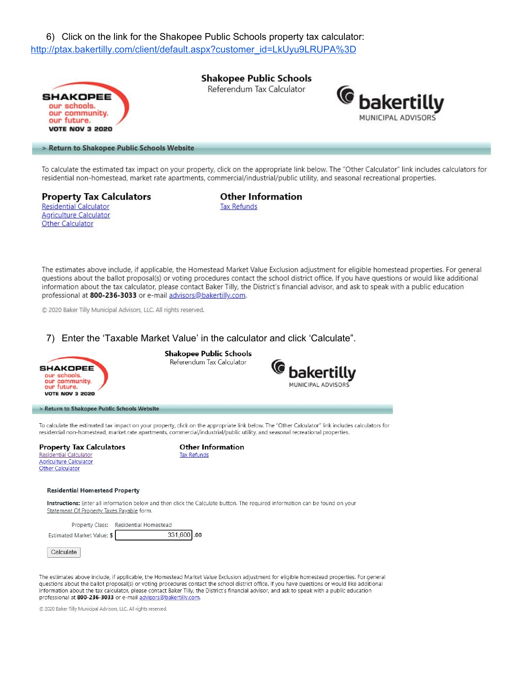6) Click on the link for the Shakopee Public Schools property tax calculator: http://ptax.bakertilly.com/client/default.aspx?customer\_id=LkUyu9LRUPA%3D



To calculate the estimated tax impact on your property, click on the appropriate link below. The "Other Calculator" link includes calculators for residential non-homestead, market rate apartments, commercial/industrial/public utility, and seasonal recreational properties.

**Property Tax Calculators Residential Calculator Agriculture Calculator** Other Calculator

**Other Information Tax Refunds** 

The estimates above include, if applicable, the Homestead Market Value Exclusion adjustment for eligible homestead properties. For general questions about the ballot proposal(s) or voting procedures contact the school district office. If you have questions or would like additional information about the tax calculator, please contact Baker Tilly, the District's financial advisor, and ask to speak with a public education professional at 800-236-3033 or e-mail advisors@bakertilly.com.

© 2020 Baker Tilly Municipal Advisors, LLC. All rights reserved.

## 7) Enter the 'Taxable Market Value' in the calculator and click 'Calculate".



The estimates above include, if applicable, the Homestead Market Value Exclusion adjustment for eligible homestead properties. For general questions about the ballot proposal(s) or voting procedures contact the school district office. If you have questions or would like additional information about the tax calculator, please contact Baker Tilly, the District's financial advisor, and ask to speak with a public education professional at 800-236-3033 or e-mail advisors@bakertilly.com.

C 2020 Baker Tilly Municipal Advisors, LLC. All rights reserved.

Calculate